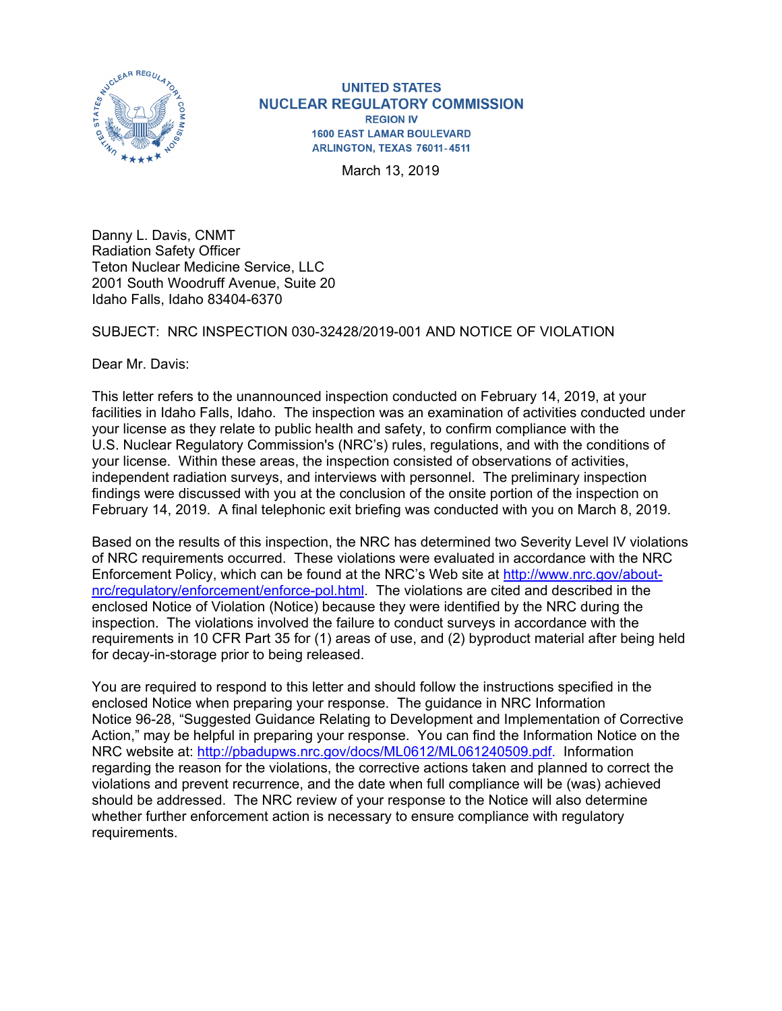

**UNITED STATES NUCLEAR REGULATORY COMMISSION REGION IV 1600 EAST LAMAR BOULEVARD** ARLINGTON, TEXAS 76011-4511

March 13, 2019

Danny L. Davis, CNMT Radiation Safety Officer Teton Nuclear Medicine Service, LLC 2001 South Woodruff Avenue, Suite 20 Idaho Falls, Idaho 83404-6370

## SUBJECT: NRC INSPECTION 030-32428/2019-001 AND NOTICE OF VIOLATION

Dear Mr. Davis:

This letter refers to the unannounced inspection conducted on February 14, 2019, at your facilities in Idaho Falls, Idaho. The inspection was an examination of activities conducted under your license as they relate to public health and safety, to confirm compliance with the U.S. Nuclear Regulatory Commission's (NRC's) rules, regulations, and with the conditions of your license. Within these areas, the inspection consisted of observations of activities, independent radiation surveys, and interviews with personnel. The preliminary inspection findings were discussed with you at the conclusion of the onsite portion of the inspection on February 14, 2019. A final telephonic exit briefing was conducted with you on March 8, 2019.

Based on the results of this inspection, the NRC has determined two Severity Level IV violations of NRC requirements occurred. These violations were evaluated in accordance with the NRC Enforcement Policy, which can be found at the NRC's Web site at http://www.nrc.gov/aboutnrc/regulatory/enforcement/enforce-pol.html. The violations are cited and described in the enclosed Notice of Violation (Notice) because they were identified by the NRC during the inspection. The violations involved the failure to conduct surveys in accordance with the requirements in 10 CFR Part 35 for (1) areas of use, and (2) byproduct material after being held for decay-in-storage prior to being released.

You are required to respond to this letter and should follow the instructions specified in the enclosed Notice when preparing your response. The guidance in NRC Information Notice 96-28, "Suggested Guidance Relating to Development and Implementation of Corrective Action," may be helpful in preparing your response. You can find the Information Notice on the NRC website at: http://pbadupws.nrc.gov/docs/ML0612/ML061240509.pdf. Information regarding the reason for the violations, the corrective actions taken and planned to correct the violations and prevent recurrence, and the date when full compliance will be (was) achieved should be addressed. The NRC review of your response to the Notice will also determine whether further enforcement action is necessary to ensure compliance with regulatory requirements.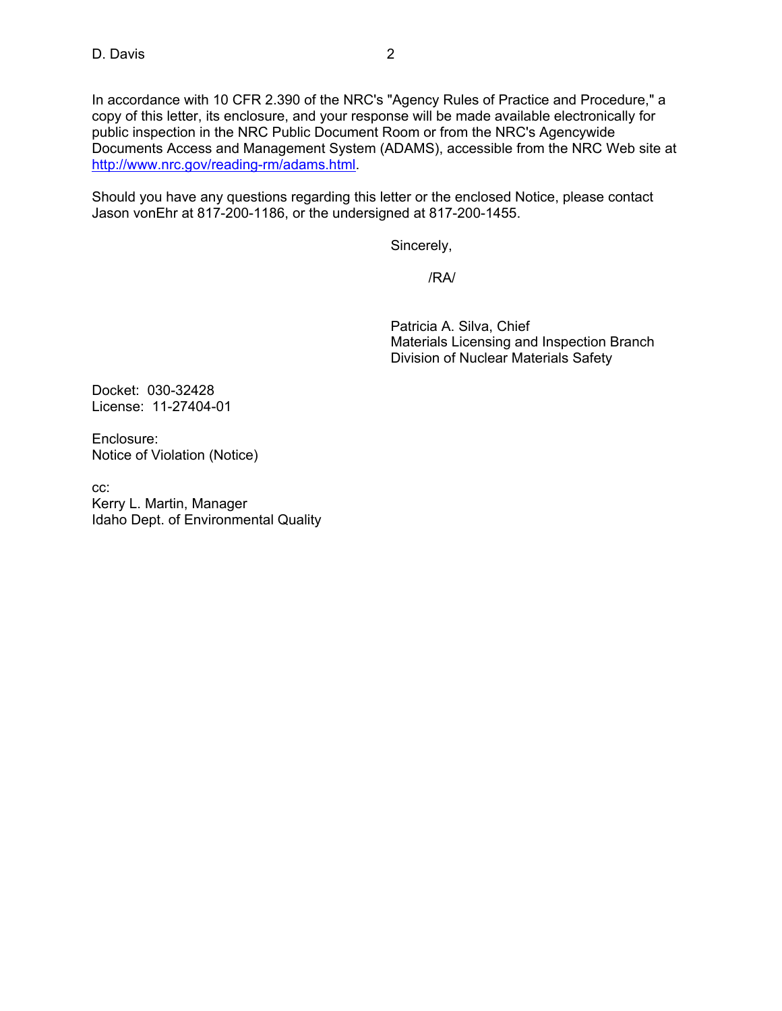In accordance with 10 CFR 2.390 of the NRC's "Agency Rules of Practice and Procedure," a copy of this letter, its enclosure, and your response will be made available electronically for public inspection in the NRC Public Document Room or from the NRC's Agencywide Documents Access and Management System (ADAMS), accessible from the NRC Web site at http://www.nrc.gov/reading-rm/adams.html.

Should you have any questions regarding this letter or the enclosed Notice, please contact Jason vonEhr at 817-200-1186, or the undersigned at 817-200-1455.

Sincerely,

/RA/

 Patricia A. Silva, Chief Materials Licensing and Inspection Branch Division of Nuclear Materials Safety

Docket: 030-32428 License: 11-27404-01

Enclosure: Notice of Violation (Notice)

cc: Kerry L. Martin, Manager Idaho Dept. of Environmental Quality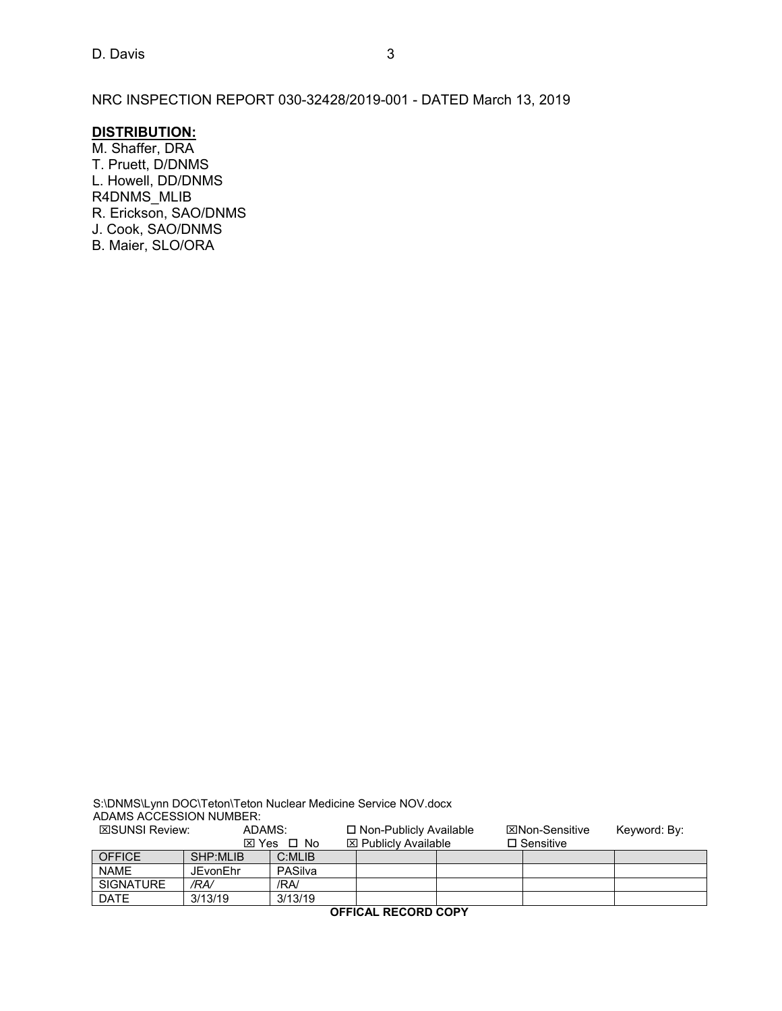NRC INSPECTION REPORT 030-32428/2019-001 - DATED March 13, 2019

## **DISTRIBUTION:**

M. Shaffer, DRA T. Pruett, D/DNMS L. Howell, DD/DNMS R4DNMS\_MLIB R. Erickson, SAO/DNMS J. Cook, SAO/DNMS B. Maier, SLO/ORA

|                         |        | S:\DNMS\Lynn DOC\Teton\Teton Nuclear Medicine Service NOV.docx |
|-------------------------|--------|----------------------------------------------------------------|
| ADAMS ACCESSION NUMBER: |        |                                                                |
| <b>EROLINIOL DAMANA</b> | ADAMO. | m New Dukliche Arreitekte                                      |

**EXAUNSI Review:** ADAMS: **D** Non-Publicly Available **Non-Sensitive** Keyword: By:<br> **EX** Yes **D** No **EX** Publicly Available **D** Sensitive  $S \Box No \Box Publicly Available$ <br>  $C:MLIB$ OFFICE SHP:MLIB C:MLIB<br>NAME JEvonEhr PASilva JEvonEhr PASi<br>/RA/ /RA/ SIGNATURE */RA/* /RA/<br>DATE 3/13/19 3/13/19 3/13/19

**OFFICAL RECORD COPY**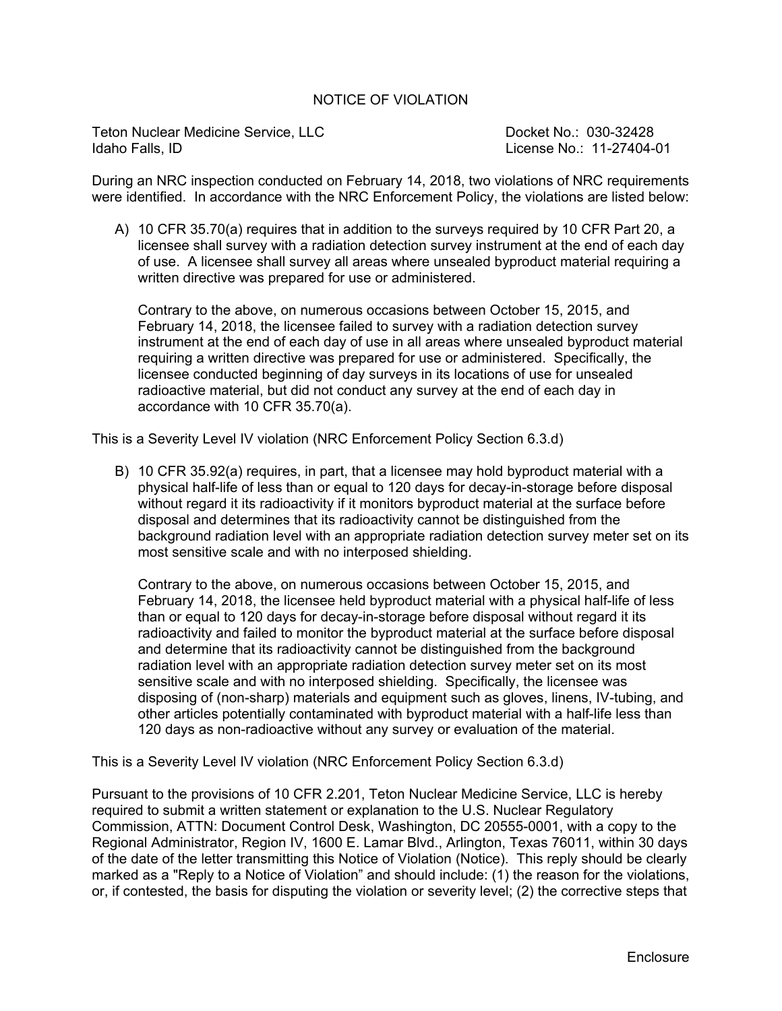## NOTICE OF VIOLATION

Teton Nuclear Medicine Service, LLC No.: 030-32428 Idaho Falls, ID License No.: 11-27404-01

During an NRC inspection conducted on February 14, 2018, two violations of NRC requirements were identified. In accordance with the NRC Enforcement Policy, the violations are listed below:

A) 10 CFR 35.70(a) requires that in addition to the surveys required by 10 CFR Part 20, a licensee shall survey with a radiation detection survey instrument at the end of each day of use. A licensee shall survey all areas where unsealed byproduct material requiring a written directive was prepared for use or administered.

Contrary to the above, on numerous occasions between October 15, 2015, and February 14, 2018, the licensee failed to survey with a radiation detection survey instrument at the end of each day of use in all areas where unsealed byproduct material requiring a written directive was prepared for use or administered. Specifically, the licensee conducted beginning of day surveys in its locations of use for unsealed radioactive material, but did not conduct any survey at the end of each day in accordance with 10 CFR 35.70(a).

This is a Severity Level IV violation (NRC Enforcement Policy Section 6.3.d)

B) 10 CFR 35.92(a) requires, in part, that a licensee may hold byproduct material with a physical half-life of less than or equal to 120 days for decay-in-storage before disposal without regard it its radioactivity if it monitors byproduct material at the surface before disposal and determines that its radioactivity cannot be distinguished from the background radiation level with an appropriate radiation detection survey meter set on its most sensitive scale and with no interposed shielding.

Contrary to the above, on numerous occasions between October 15, 2015, and February 14, 2018, the licensee held byproduct material with a physical half-life of less than or equal to 120 days for decay-in-storage before disposal without regard it its radioactivity and failed to monitor the byproduct material at the surface before disposal and determine that its radioactivity cannot be distinguished from the background radiation level with an appropriate radiation detection survey meter set on its most sensitive scale and with no interposed shielding. Specifically, the licensee was disposing of (non-sharp) materials and equipment such as gloves, linens, IV-tubing, and other articles potentially contaminated with byproduct material with a half-life less than 120 days as non-radioactive without any survey or evaluation of the material.

This is a Severity Level IV violation (NRC Enforcement Policy Section 6.3.d)

Pursuant to the provisions of 10 CFR 2.201, Teton Nuclear Medicine Service, LLC is hereby required to submit a written statement or explanation to the U.S. Nuclear Regulatory Commission, ATTN: Document Control Desk, Washington, DC 20555-0001, with a copy to the Regional Administrator, Region IV, 1600 E. Lamar Blvd., Arlington, Texas 76011, within 30 days of the date of the letter transmitting this Notice of Violation (Notice). This reply should be clearly marked as a "Reply to a Notice of Violation" and should include: (1) the reason for the violations, or, if contested, the basis for disputing the violation or severity level; (2) the corrective steps that